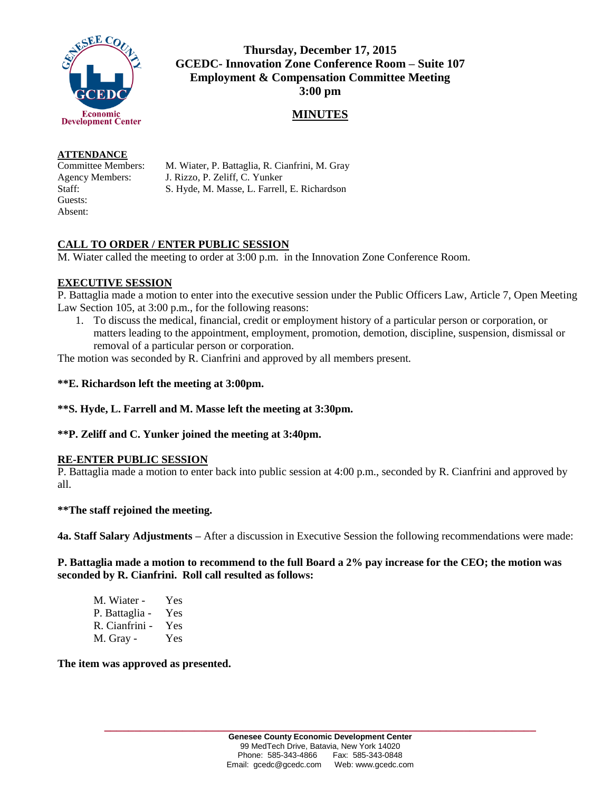

**Thursday, December 17, 2015 GCEDC- Innovation Zone Conference Room – Suite 107 Employment & Compensation Committee Meeting 3:00 pm**

## **MINUTES**

#### **ATTENDANCE**

Guests: Absent:

Committee Members: M. Wiater, P. Battaglia, R. Cianfrini, M. Gray Agency Members: J. Rizzo, P. Zeliff, C. Yunker Staff: S. Hyde, M. Masse, L. Farrell, E. Richardson

# **CALL TO ORDER / ENTER PUBLIC SESSION**

M. Wiater called the meeting to order at 3:00 p.m. in the Innovation Zone Conference Room.

## **EXECUTIVE SESSION**

P. Battaglia made a motion to enter into the executive session under the Public Officers Law, Article 7, Open Meeting Law Section 105, at 3:00 p.m., for the following reasons:

1. To discuss the medical, financial, credit or employment history of a particular person or corporation, or matters leading to the appointment, employment, promotion, demotion, discipline, suspension, dismissal or removal of a particular person or corporation.

The motion was seconded by R. Cianfrini and approved by all members present.

### **\*\*E. Richardson left the meeting at 3:00pm.**

### **\*\*S. Hyde, L. Farrell and M. Masse left the meeting at 3:30pm.**

### **\*\*P. Zeliff and C. Yunker joined the meeting at 3:40pm.**

### **RE-ENTER PUBLIC SESSION**

P. Battaglia made a motion to enter back into public session at 4:00 p.m., seconded by R. Cianfrini and approved by all.

### **\*\*The staff rejoined the meeting.**

**4a. Staff Salary Adjustments –** After a discussion in Executive Session the following recommendations were made:

### **P. Battaglia made a motion to recommend to the full Board a 2% pay increase for the CEO; the motion was seconded by R. Cianfrini. Roll call resulted as follows:**

| M. Wiater -    | Yes |
|----------------|-----|
| P. Battaglia - | Yes |
| R. Cianfrini - | Yes |
| M. Gray -      | Yes |

**The item was approved as presented.**

**\_\_\_\_\_\_\_\_\_\_\_\_\_\_\_\_\_\_\_\_\_\_\_\_\_\_\_\_\_\_\_\_\_\_\_\_\_\_\_\_\_\_\_\_\_\_\_\_\_\_\_\_\_\_\_\_\_\_\_\_\_\_\_\_\_\_\_\_\_\_\_\_**